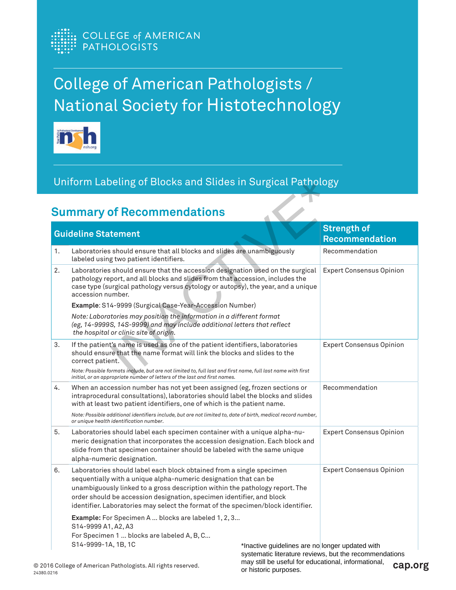

## College of American Pathologists / National Society for Histotechnology



## Uniform Labeling of Blocks and Slides in Surgical Pathology

| <b>Guideline Statement</b> |                                                                                                                                                                                                                                                                                                                                                                                       |                                                                              | <b>Strength of</b><br><b>Recommendation</b>            |
|----------------------------|---------------------------------------------------------------------------------------------------------------------------------------------------------------------------------------------------------------------------------------------------------------------------------------------------------------------------------------------------------------------------------------|------------------------------------------------------------------------------|--------------------------------------------------------|
| 1.                         | Laboratories should ensure that all blocks and slides are unambiguously<br>labeled using two patient identifiers.                                                                                                                                                                                                                                                                     |                                                                              | Recommendation                                         |
| 2.                         | Laboratories should ensure that the accession designation used on the surgical<br>pathology report, and all blocks and slides from that accession, includes the<br>case type (surgical pathology versus cytology or autopsy), the year, and a unique<br>accession number.                                                                                                             |                                                                              | <b>Expert Consensus Opinion</b>                        |
|                            | Example: S14-9999 (Surgical Case-Year-Accession Number)                                                                                                                                                                                                                                                                                                                               |                                                                              |                                                        |
|                            | Note: Laboratories may position the information in a different format<br>(eg, 14-9999S, 14S-9999) and may include additional letters that reflect<br>the hospital or clinic site of origin.                                                                                                                                                                                           |                                                                              |                                                        |
| 3.                         | If the patient's name is used as one of the patient identifiers, laboratories<br>should ensure that the name format will link the blocks and slides to the<br>correct patient.<br>Note: Possible formats include, but are not limited to, full last and first name, full last name with first                                                                                         |                                                                              | <b>Expert Consensus Opinion</b>                        |
| 4.                         | initial, or an appropriate number of letters of the last and first names.<br>When an accession number has not yet been assigned (eg, frozen sections or<br>intraprocedural consultations), laboratories should label the blocks and slides<br>with at least two patient identifiers, one of which is the patient name.                                                                |                                                                              | Recommendation                                         |
|                            | Note: Possible additional identifiers include, but are not limited to, date of birth, medical record number,<br>or unique health identification number.                                                                                                                                                                                                                               |                                                                              |                                                        |
| 5.                         | Laboratories should label each specimen container with a unique alpha-nu-<br>meric designation that incorporates the accession designation. Each block and<br>slide from that specimen container should be labeled with the same unique<br>alpha-numeric designation.                                                                                                                 |                                                                              | <b>Expert Consensus Opinion</b>                        |
| 6.                         | Laboratories should label each block obtained from a single specimen<br>sequentially with a unique alpha-numeric designation that can be<br>unambiguously linked to a gross description within the pathology report. The<br>order should be accession designation, specimen identifier, and block<br>identifier. Laboratories may select the format of the specimen/block identifier. |                                                                              | <b>Expert Consensus Opinion</b>                        |
|                            | Example: For Specimen A  blocks are labeled 1, 2, 3<br>S14-9999 A1, A2, A3<br>For Specimen 1  blocks are labeled A, B, C<br>S14-9999-1A, 1B, 1C                                                                                                                                                                                                                                       | *Inactive guidelines are no longer updated with                              | systematic literature reviews, but the recommendations |
|                            | 16 College of American Pathologists. All rights reserved.                                                                                                                                                                                                                                                                                                                             | may still be useful for educational, informational,<br>or historic purposes. | cap.org                                                |